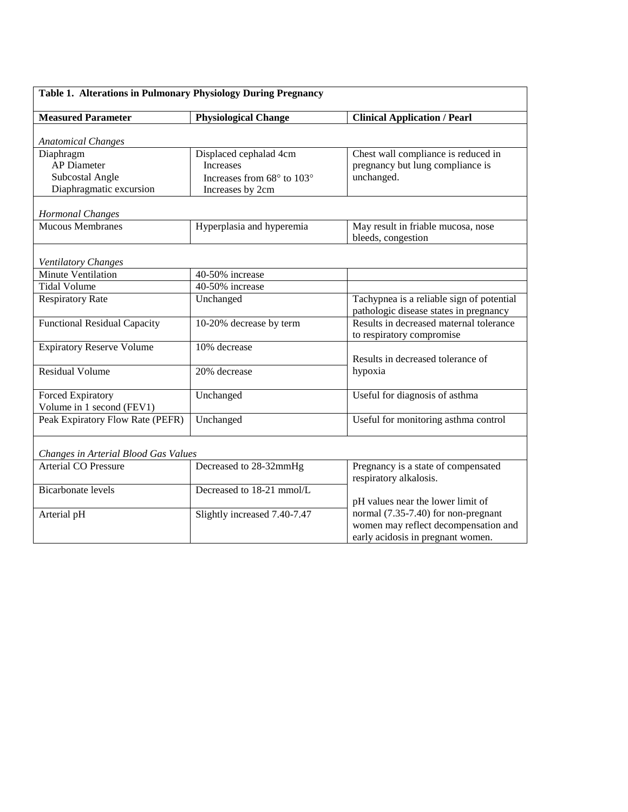| Table 1. Alterations in Pulmonary Physiology During Pregnancy |                              |                                                                                     |  |
|---------------------------------------------------------------|------------------------------|-------------------------------------------------------------------------------------|--|
| <b>Measured Parameter</b>                                     | <b>Physiological Change</b>  | <b>Clinical Application / Pearl</b>                                                 |  |
| <b>Anatomical Changes</b>                                     |                              |                                                                                     |  |
| Diaphragm                                                     | Displaced cephalad 4cm       | Chest wall compliance is reduced in                                                 |  |
| <b>AP</b> Diameter                                            | <b>Increases</b>             | pregnancy but lung compliance is                                                    |  |
| Subcostal Angle                                               | Increases from 68° to 103°   | unchanged.                                                                          |  |
| Diaphragmatic excursion                                       | Increases by 2cm             |                                                                                     |  |
| <b>Hormonal Changes</b>                                       |                              |                                                                                     |  |
| <b>Mucous Membranes</b>                                       | Hyperplasia and hyperemia    | May result in friable mucosa, nose                                                  |  |
|                                                               |                              | bleeds, congestion                                                                  |  |
| Ventilatory Changes                                           |                              |                                                                                     |  |
| <b>Minute Ventilation</b>                                     | 40-50% increase              |                                                                                     |  |
| <b>Tidal Volume</b>                                           | 40-50% increase              |                                                                                     |  |
| <b>Respiratory Rate</b>                                       | Unchanged                    | Tachypnea is a reliable sign of potential<br>pathologic disease states in pregnancy |  |
| <b>Functional Residual Capacity</b>                           | 10-20% decrease by term      | Results in decreased maternal tolerance<br>to respiratory compromise                |  |
| <b>Expiratory Reserve Volume</b>                              | 10% decrease                 |                                                                                     |  |
|                                                               |                              | Results in decreased tolerance of                                                   |  |
| <b>Residual Volume</b>                                        | 20% decrease                 | hypoxia                                                                             |  |
| Forced Expiratory                                             | Unchanged                    | Useful for diagnosis of asthma                                                      |  |
| Volume in 1 second (FEV1)                                     |                              |                                                                                     |  |
| Peak Expiratory Flow Rate (PEFR)                              | Unchanged                    | Useful for monitoring asthma control                                                |  |
| Changes in Arterial Blood Gas Values                          |                              |                                                                                     |  |
| <b>Arterial CO Pressure</b>                                   | Decreased to 28-32mmHg       | Pregnancy is a state of compensated                                                 |  |
|                                                               |                              | respiratory alkalosis.                                                              |  |
| <b>Bicarbonate levels</b>                                     | Decreased to 18-21 mmol/L    |                                                                                     |  |
|                                                               |                              | pH values near the lower limit of                                                   |  |
| Arterial pH                                                   | Slightly increased 7.40-7.47 | normal (7.35-7.40) for non-pregnant                                                 |  |
|                                                               |                              | women may reflect decompensation and                                                |  |
|                                                               |                              | early acidosis in pregnant women.                                                   |  |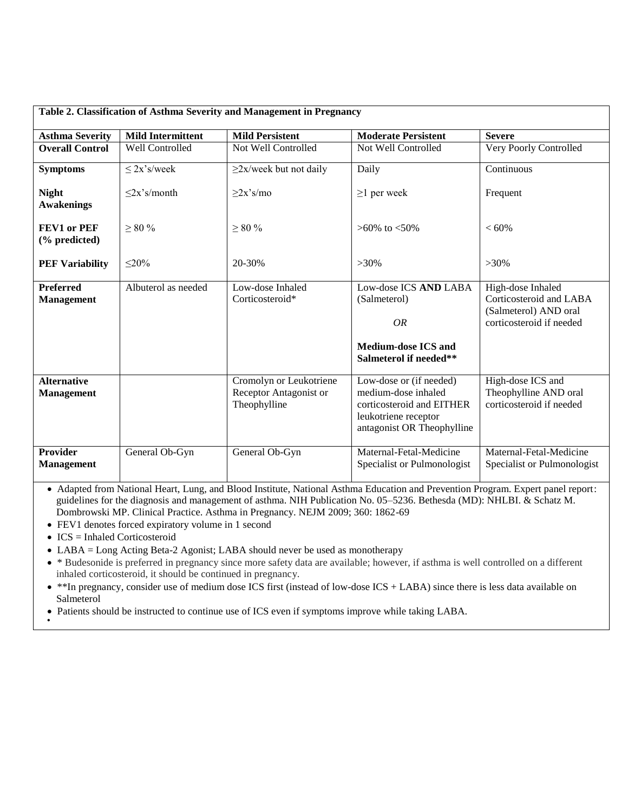| Table 2. Classification of Asthma Severity and Management in Pregnancy |                              |                                                                   |                                                                                                                                   |                                                                                                   |
|------------------------------------------------------------------------|------------------------------|-------------------------------------------------------------------|-----------------------------------------------------------------------------------------------------------------------------------|---------------------------------------------------------------------------------------------------|
| <b>Asthma Severity</b>                                                 | <b>Mild Intermittent</b>     | <b>Mild Persistent</b>                                            | <b>Moderate Persistent</b>                                                                                                        | <b>Severe</b>                                                                                     |
| <b>Overall Control</b>                                                 | Well Controlled              | Not Well Controlled                                               | Not Well Controlled                                                                                                               | Very Poorly Controlled                                                                            |
| <b>Symptoms</b>                                                        | $\leq$ 2x's/week             | $\geq$ 2x/week but not daily                                      | Daily                                                                                                                             | Continuous                                                                                        |
| <b>Night</b><br><b>Awakenings</b>                                      | $\langle 2x \rangle$ s/month | $>2x$ 's/mo                                                       | $\geq$ l per week                                                                                                                 | Frequent                                                                                          |
| FEV1 or PEF<br>$%$ predicted)                                          | $\geq 80$ %                  | $\geq 80\%$                                                       | $>60\%$ to $< 50\%$                                                                                                               | < 60%                                                                                             |
| <b>PEF Variability</b>                                                 | $\leq 20\%$                  | 20-30%                                                            | $>30\%$                                                                                                                           | $>30\%$                                                                                           |
| <b>Preferred</b><br><b>Management</b>                                  | Albuterol as needed          | Low-dose Inhaled<br>Corticosteroid*                               | Low-dose ICS AND LABA<br>(Salmeterol)<br>OR<br><b>Medium-dose ICS and</b><br>Salmeterol if needed**                               | High-dose Inhaled<br>Corticosteroid and LABA<br>(Salmeterol) AND oral<br>corticosteroid if needed |
| <b>Alternative</b><br><b>Management</b>                                |                              | Cromolyn or Leukotriene<br>Receptor Antagonist or<br>Theophylline | Low-dose or (if needed)<br>medium-dose inhaled<br>corticosteroid and EITHER<br>leukotriene receptor<br>antagonist OR Theophylline | High-dose ICS and<br>Theophylline AND oral<br>corticosteroid if needed                            |
| <b>Provider</b><br><b>Management</b>                                   | General Ob-Gyn               | General Ob-Gyn                                                    | Maternal-Fetal-Medicine<br>Specialist or Pulmonologist                                                                            | Maternal-Fetal-Medicine<br>Specialist or Pulmonologist                                            |

 Adapted from National Heart, Lung, and Blood Institute, National Asthma Education and Prevention Program. Expert panel report: guidelines for the diagnosis and management of asthma. NIH Publication No. 05–5236. Bethesda (MD): NHLBI. & Schatz M. Dombrowski MP. Clinical Practice. Asthma in Pregnancy. NEJM 2009; 360: 1862-69

- FEV1 denotes forced expiratory volume in 1 second
- $\bullet$  ICS = Inhaled Corticosteroid
- LABA = Long Acting Beta-2 Agonist; LABA should never be used as monotherapy
- \* Budesonide is preferred in pregnancy since more safety data are available; however, if asthma is well controlled on a different inhaled corticosteroid, it should be continued in pregnancy.
- \*\*In pregnancy, consider use of medium dose ICS first (instead of low-dose ICS + LABA) since there is less data available on Salmeterol
- Patients should be instructed to continue use of ICS even if symptoms improve while taking LABA.  $\bullet$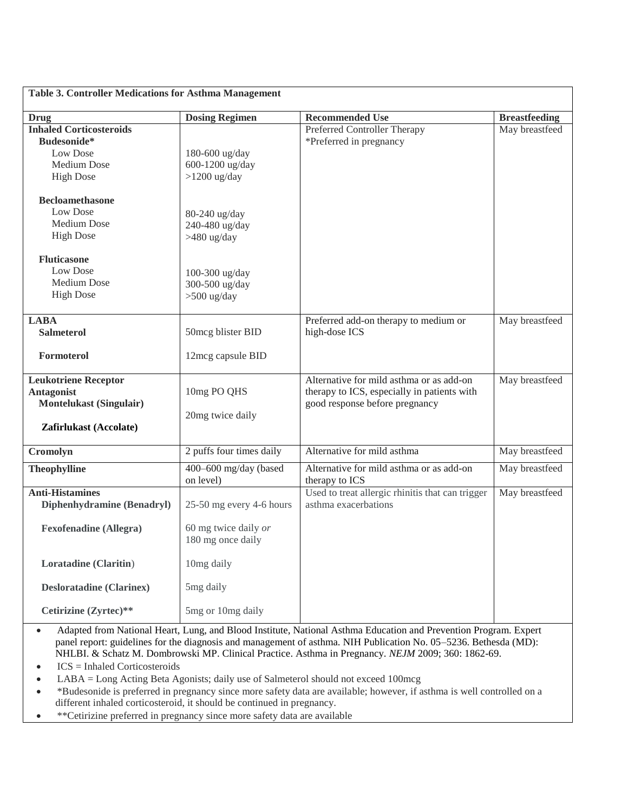| <b>Table 3. Controller Medications for Asthma Management</b>                                                 |                                                                       |                                                                                                                           |                      |
|--------------------------------------------------------------------------------------------------------------|-----------------------------------------------------------------------|---------------------------------------------------------------------------------------------------------------------------|----------------------|
| <b>Drug</b>                                                                                                  | <b>Dosing Regimen</b>                                                 | <b>Recommended Use</b>                                                                                                    | <b>Breastfeeding</b> |
| <b>Inhaled Corticosteroids</b><br>Budesonide*<br>Low Dose<br><b>Medium Dose</b><br><b>High Dose</b>          | 180-600 ug/day<br>600-1200 ug/day<br>$>1200$ ug/day                   | Preferred Controller Therapy<br>*Preferred in pregnancy                                                                   | May breastfeed       |
| <b>Becloamethasone</b><br>Low Dose<br><b>Medium</b> Dose<br><b>High Dose</b>                                 | 80-240 ug/day<br>240-480 ug/day<br>>480 ug/day                        |                                                                                                                           |                      |
| <b>Fluticasone</b><br>Low Dose<br><b>Medium Dose</b><br><b>High Dose</b>                                     | 100-300 ug/day<br>300-500 ug/day<br>$>500$ ug/day                     |                                                                                                                           |                      |
| <b>LABA</b><br><b>Salmeterol</b><br>Formoterol                                                               | 50mcg blister BID<br>12mcg capsule BID                                | Preferred add-on therapy to medium or<br>high-dose ICS                                                                    | May breastfeed       |
| <b>Leukotriene Receptor</b><br><b>Antagonist</b><br><b>Montelukast (Singulair)</b><br>Zafirlukast (Accolate) | 10mg PO QHS<br>20mg twice daily                                       | Alternative for mild asthma or as add-on<br>therapy to ICS, especially in patients with<br>good response before pregnancy | May breastfeed       |
| Cromolyn                                                                                                     | 2 puffs four times daily                                              | Alternative for mild asthma                                                                                               | May breastfeed       |
| <b>Theophylline</b>                                                                                          | 400-600 mg/day (based<br>on level)                                    | Alternative for mild asthma or as add-on<br>therapy to ICS                                                                | May breastfeed       |
| <b>Anti-Histamines</b><br>Diphenhydramine (Benadryl)<br><b>Fexofenadine (Allegra)</b>                        | 25-50 mg every 4-6 hours<br>60 mg twice daily or<br>180 mg once daily | Used to treat allergic rhinitis that can trigger<br>asthma exacerbations                                                  | May breastfeed       |
| Loratadine (Claritin)                                                                                        | 10mg daily                                                            |                                                                                                                           |                      |
| <b>Desloratadine (Clarinex)</b>                                                                              | 5mg daily                                                             |                                                                                                                           |                      |
| Cetirizine (Zyrtec)**                                                                                        | 5mg or 10mg daily                                                     |                                                                                                                           |                      |

- Adapted from National Heart, Lung, and Blood Institute, National Asthma Education and Prevention Program. Expert panel report: guidelines for the diagnosis and management of asthma. NIH Publication No. 05–5236. Bethesda (MD): NHLBI. & Schatz M. Dombrowski MP. Clinical Practice. Asthma in Pregnancy. *NEJM* 2009; 360: 1862-69.
- $ICS = Inhaled Corticosteroids$
- LABA = Long Acting Beta Agonists; daily use of Salmeterol should not exceed 100mcg
- \*Budesonide is preferred in pregnancy since more safety data are available; however, if asthma is well controlled on a different inhaled corticosteroid, it should be continued in pregnancy.
- \*\*Cetirizine preferred in pregnancy since more safety data are available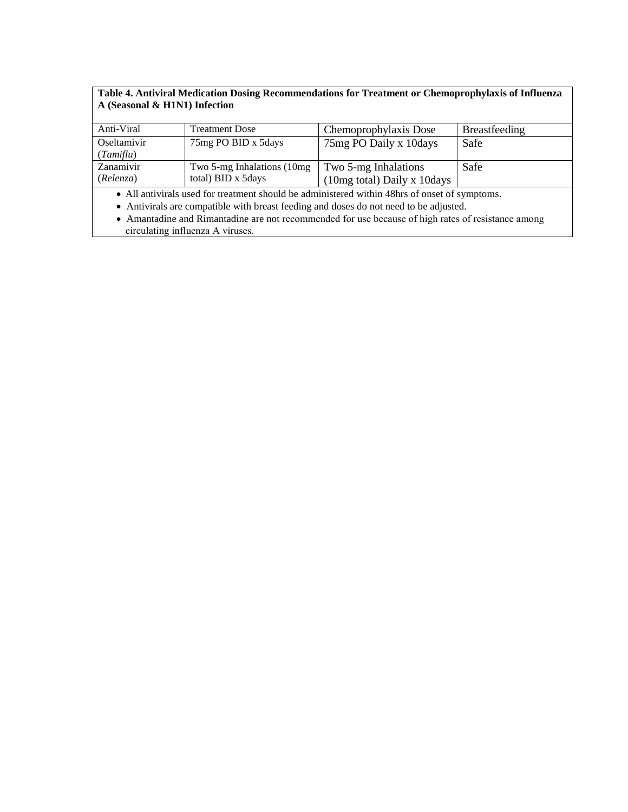## **Table 4. Antiviral Medication Dosing Recommendations for Treatment or Chemoprophylaxis of Influenza A (Seasonal & H1N1) Infection**

| Anti-Viral  | <b>Treatment Dose</b>       | Chemoprophylaxis Dose                 | <b>Breastfeeding</b> |
|-------------|-----------------------------|---------------------------------------|----------------------|
| Oseltamivir | 75 mg PO BID x 5 days       | 75 mg PO Daily x 10 days              | Safe                 |
| (Tamiflu)   |                             |                                       |                      |
| Zanamivir   | Two 5-mg Inhalations (10mg) | Two 5-mg Inhalations                  | Safe                 |
| (Relenza)   | total) BID x 5days          | $(10mg \text{ total})$ Daily x 10days |                      |

All antivirals used for treatment should be administered within 48hrs of onset of symptoms.

Antivirals are compatible with breast feeding and doses do not need to be adjusted.

 Amantadine and Rimantadine are not recommended for use because of high rates of resistance among circulating influenza A viruses.